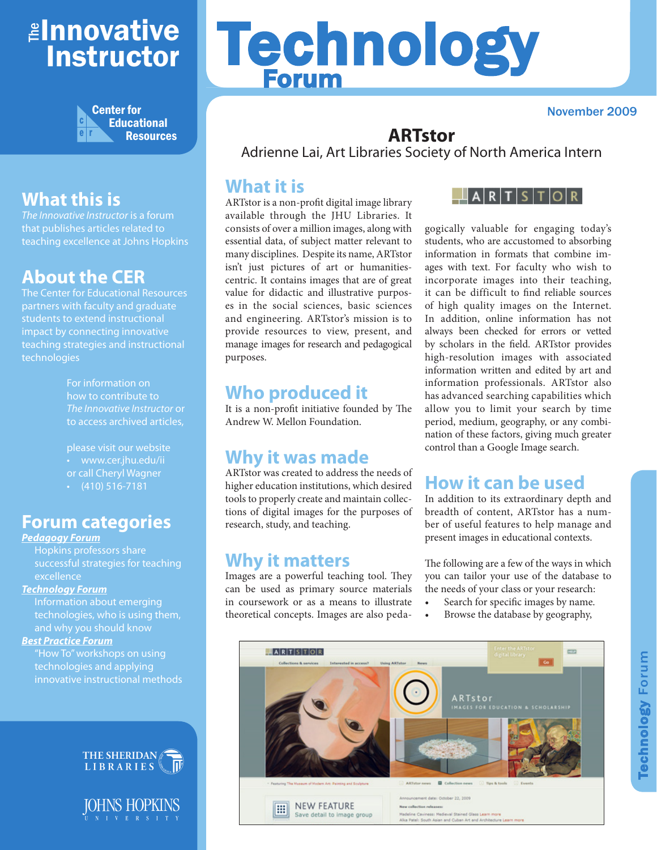## <mark>≇Innovative</mark> Instructor



## **What this is**

*The Innovative Instructor* is a forum that publishes articles related to teaching excellence at Johns Hopkins

### **About the CER**

The Center for Educational Resources partners with faculty and graduate students to extend instructional impact by connecting innovative teaching strategies and instructional technologies

> For information on how to contribute to *The Innovative Instructor* or to access archived articles,

please visit our website • www.cer.jhu.edu/ii or call Cheryl Wagner  $\cdot$  (410) 516-7181

#### **Forum categories**

#### *Pedagogy Forum*

Hopkins professors share successful strategies for teaching excellence

#### *Technology Forum*

Information about emerging technologies, who is using them, and why you should know

#### *Best Practice Forum*

"How To" workshops on using technologies and applying innovative instructional methods



IOHNS HOPKINS  $V - E - R - S - I - T - Y$ 

# Technology Forum

November 2009

#### **ARTstor**

Adrienne Lai, Art Libraries Society of North America Intern

#### **What it is**

ARTstor is a non-profit digital image library available through the JHU Libraries. It consists of over a million images, along with essential data, of subject matter relevant to many disciplines. Despite its name, ARTstor isn't just pictures of art or humanitiescentric. It contains images that are of great value for didactic and illustrative purposes in the social sciences, basic sciences and engineering. ARTstor's mission is to provide resources to view, present, and manage images for research and pedagogical purposes.

#### **Who produced it**

It is a non-profit initiative founded by The Andrew W. Mellon Foundation.

#### **Why it was made**

ARTstor was created to address the needs of higher education institutions, which desired tools to properly create and maintain collections of digital images for the purposes of research, study, and teaching.

#### **Why it matters**

Images are a powerful teaching tool. They can be used as primary source materials in coursework or as a means to illustrate theoretical concepts. Images are also peda-



gogically valuable for engaging today's students, who are accustomed to absorbing information in formats that combine images with text. For faculty who wish to incorporate images into their teaching, it can be difficult to find reliable sources of high quality images on the Internet. In addition, online information has not always been checked for errors or vetted by scholars in the field. ARTstor provides high-resolution images with associated information written and edited by art and information professionals. ARTstor also has advanced searching capabilities which allow you to limit your search by time period, medium, geography, or any combination of these factors, giving much greater control than a Google Image search.

## **How it can be used**

In addition to its extraordinary depth and breadth of content, ARTstor has a number of useful features to help manage and present images in educational contexts.

The following are a few of the ways in which you can tailor your use of the database to the needs of your class or your research:

- Search for specific images by name.
- Browse the database by geography,